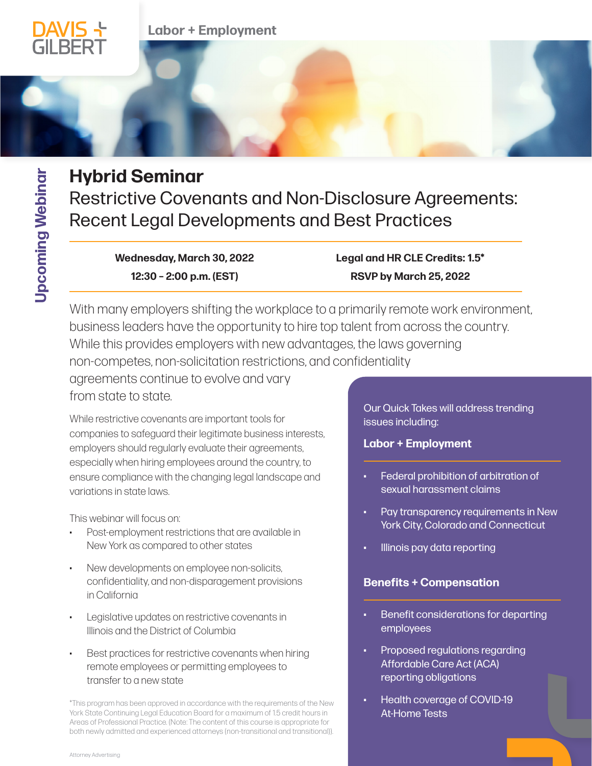

# **Hybrid Seminar**

Restrictive Covenants and Non-Disclosure Agreements: Recent Legal Developments and Best Practices

> **Wednesday, March 30, 2022 12:30 – 2:00 p.m. (EST)**

**Labor + Employment**

**Legal and HR CLE Credits: 1.5\* [RSVP by March 25, 2022](https://dglaw.zoom.us/webinar/register/WN_AaXpCgtfRn2YC3iqIcpl7g)** 

With many employers shifting the workplace to a primarily remote work environment, business leaders have the opportunity to hire top talent from across the country. While this provides employers with new advantages, the laws governing non-competes, non-solicitation restrictions, and confidentiality agreements continue to evolve and vary

from state to state.

While restrictive covenants are important tools for companies to safeguard their legitimate business interests, employers should regularly evaluate their agreements, especially when hiring employees around the country, to ensure compliance with the changing legal landscape and variations in state laws.

This webinar will focus on:

- Post-employment restrictions that are available in New York as compared to other states
- New developments on employee non-solicits, confidentiality, and non-disparagement provisions in California
- Legislative updates on restrictive covenants in Illinois and the District of Columbia
- Best practices for restrictive covenants when hiring remote employees or permitting employees to transfer to a new state

\*This program has been approved in accordance with the requirements of the New York State Continuing Legal Education Board for a maximum of 1.5 credit hours in Areas of Professional Practice. (Note: The content of this course is appropriate for both newly admitted and experienced attorneys (non-transitional and transitional)).

Our Quick Takes will address trending issues including:

# **Labor + Employment**

- Federal prohibition of arbitration of sexual harassment claims
- Pay transparency requirements in New York City, Colorado and Connecticut
- Illinois pay data reporting

# **Benefits + Compensation**

- Benefit considerations for departing employees
- Proposed regulations regarding Affordable Care Act (ACA) reporting obligations
- Health coverage of COVID-19 At-Home Tests